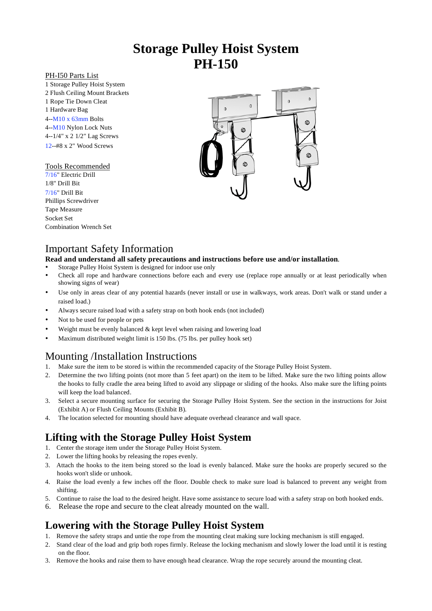# **Storage Pulley Hoist System PH-150**

### PH-I50 Parts List

1 Storage Pulley Hoist System 2 Flush Ceiling Mount Brackets 1 Rope Tie Down Cleat 1 Hardware Bag 4--M10 x 63mm Bolts 4--M10 Nylon Lock Nuts 4--1/4" x 2 1/2" Lag Screws 12--#8 x 2" Wood Screws

### Tools Recommended

7/16" Electric Drill 1/8" Drill Bit 7/16" Drill Bit Phillips Screwdriver Tape Measure Socket Set Combination Wrench Set



### Important Safety Information

### **Read and understand all safety precautions and instructions before use and/or installation**.

- Storage Pulley Hoist System is designed for indoor use only
- Check all rope and hardware connections before each and every use (replace rope annually or at least periodically when showing signs of wear)
- Use only in areas clear of any potential hazards (never install or use in walkways, work areas. Don't walk or stand under a raised load.)
- Always secure raised load with a safety strap on both hook ends (not included)
- Not to be used for people or pets
- Weight must be evenly balanced  $&$  kept level when raising and lowering load
- Maximum distributed weight limit is 150 lbs. (75 lbs. per pulley hook set)

### Mounting /Installation Instructions

- 1. Make sure the item to be stored is within the recommended capacity of the Storage Pulley Hoist System.
- 2. Determine the two lifting points (not more than 5 feet apart) on the item to be lifted. Make sure the two lifting points allow the hooks to fully cradle the area being lifted to avoid any slippage or sliding of the hooks. Also make sure the lifting points will keep the load balanced.
- 3. Select a secure mounting surface for securing the Storage Pulley Hoist System. See the section in the instructions for Joist (Exhibit A) or Flush Ceiling Mounts (Exhibit B).
- 4. The location selected for mounting should have adequate overhead clearance and wall space.

## **Lifting with the Storage Pulley Hoist System**

- 1. Center the storage item under the Storage Pulley Hoist System.
- 2. Lower the lifting hooks by releasing the ropes evenly.
- 3. Attach the hooks to the item being stored so the load is evenly balanced. Make sure the hooks are properly secured so the hooks won't slide or unhook.
- 4. Raise the load evenly a few inches off the floor. Double check to make sure load is balanced to prevent any weight from shifting.
- 5. Continue to raise the load to the desired height. Have some assistance to secure load with a safety strap on both hooked ends.
- 6. Release the rope and secure to the cleat already mounted on the wall.

# **Lowering with the Storage Pulley Hoist System**

- 1. Remove the safety straps and untie the rope from the mounting cleat making sure locking mechanism is still engaged.
- 2. Stand clear of the load and grip both ropes firmly. Release the locking mechanism and slowly lower the load until it is resting on the floor.
- 3. Remove the hooks and raise them to have enough head clearance. Wrap the rope securely around the mounting cleat.